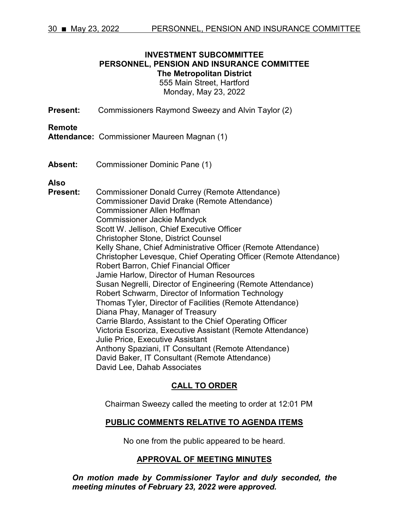#### **INVESTMENT SUBCOMMITTEE PERSONNEL, PENSION AND INSURANCE COMMITTEE The Metropolitan District** 555 Main Street, Hartford Monday, May 23, 2022

**Present:** Commissioners Raymond Sweezy and Alvin Taylor (2)

#### **Remote**

**Attendance:** Commissioner Maureen Magnan (1)

**Absent:** Commissioner Dominic Pane (1)

**Also**

**Present:** Commissioner Donald Currey (Remote Attendance) Commissioner David Drake (Remote Attendance) Commissioner Allen Hoffman Commissioner Jackie Mandyck Scott W. Jellison, Chief Executive Officer Christopher Stone, District Counsel Kelly Shane, Chief Administrative Officer (Remote Attendance) Christopher Levesque, Chief Operating Officer (Remote Attendance) Robert Barron, Chief Financial Officer Jamie Harlow, Director of Human Resources Susan Negrelli, Director of Engineering (Remote Attendance) Robert Schwarm, Director of Information Technology Thomas Tyler, Director of Facilities (Remote Attendance) Diana Phay, Manager of Treasury Carrie Blardo, Assistant to the Chief Operating Officer Victoria Escoriza, Executive Assistant (Remote Attendance) Julie Price, Executive Assistant Anthony Spaziani, IT Consultant (Remote Attendance) David Baker, IT Consultant (Remote Attendance) David Lee, Dahab Associates

# **CALL TO ORDER**

Chairman Sweezy called the meeting to order at 12:01 PM

#### **PUBLIC COMMENTS RELATIVE TO AGENDA ITEMS**

No one from the public appeared to be heard.

# **APPROVAL OF MEETING MINUTES**

*On motion made by Commissioner Taylor and duly seconded, the meeting minutes of February 23, 2022 were approved.*